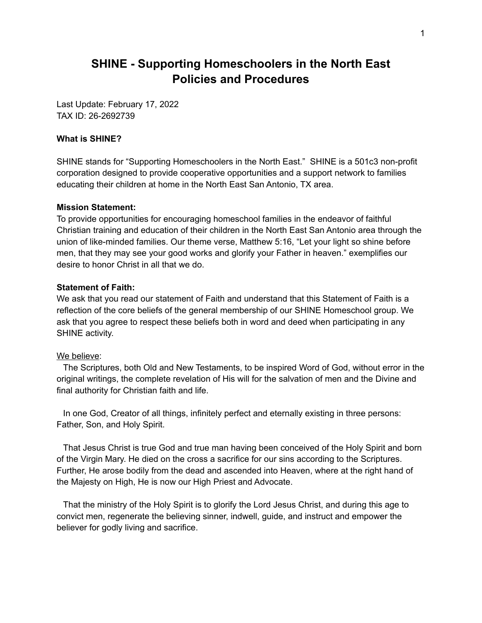### **SHINE - Supporting Homeschoolers in the North East Policies and Procedures**

Last Update: February 17, 2022 TAX ID: 26-2692739

#### **What is SHINE?**

SHINE stands for "Supporting Homeschoolers in the North East." SHINE is a 501c3 non-profit corporation designed to provide cooperative opportunities and a support network to families educating their children at home in the North East San Antonio, TX area.

#### **Mission Statement:**

To provide opportunities for encouraging homeschool families in the endeavor of faithful Christian training and education of their children in the North East San Antonio area through the union of like-minded families. Our theme verse, Matthew 5:16, "Let your light so shine before men, that they may see your good works and glorify your Father in heaven." exemplifies our desire to honor Christ in all that we do.

#### **Statement of Faith:**

We ask that you read our statement of Faith and understand that this Statement of Faith is a reflection of the core beliefs of the general membership of our SHINE Homeschool group. We ask that you agree to respect these beliefs both in word and deed when participating in any SHINE activity.

#### We believe:

The Scriptures, both Old and New Testaments, to be inspired Word of God, without error in the original writings, the complete revelation of His will for the salvation of men and the Divine and final authority for Christian faith and life.

In one God, Creator of all things, infinitely perfect and eternally existing in three persons: Father, Son, and Holy Spirit.

That Jesus Christ is true God and true man having been conceived of the Holy Spirit and born of the Virgin Mary. He died on the cross a sacrifice for our sins according to the Scriptures. Further, He arose bodily from the dead and ascended into Heaven, where at the right hand of the Majesty on High, He is now our High Priest and Advocate.

That the ministry of the Holy Spirit is to glorify the Lord Jesus Christ, and during this age to convict men, regenerate the believing sinner, indwell, guide, and instruct and empower the believer for godly living and sacrifice.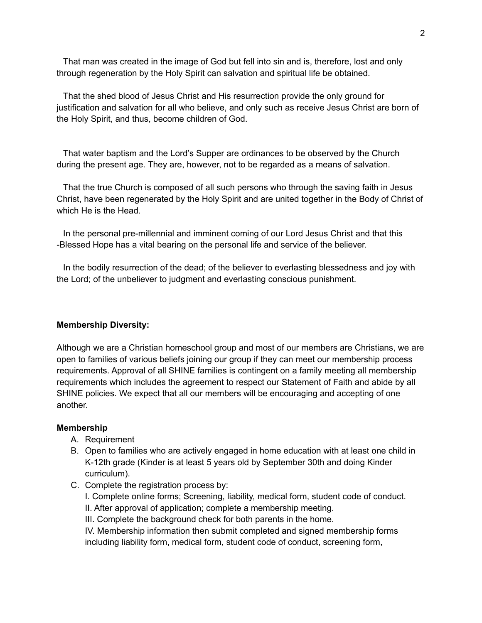That man was created in the image of God but fell into sin and is, therefore, lost and only through regeneration by the Holy Spirit can salvation and spiritual life be obtained.

That the shed blood of Jesus Christ and His resurrection provide the only ground for justification and salvation for all who believe, and only such as receive Jesus Christ are born of the Holy Spirit, and thus, become children of God.

That water baptism and the Lord's Supper are ordinances to be observed by the Church during the present age. They are, however, not to be regarded as a means of salvation.

That the true Church is composed of all such persons who through the saving faith in Jesus Christ, have been regenerated by the Holy Spirit and are united together in the Body of Christ of which He is the Head.

In the personal pre-millennial and imminent coming of our Lord Jesus Christ and that this -Blessed Hope has a vital bearing on the personal life and service of the believer.

In the bodily resurrection of the dead; of the believer to everlasting blessedness and joy with the Lord; of the unbeliever to judgment and everlasting conscious punishment.

#### **Membership Diversity:**

Although we are a Christian homeschool group and most of our members are Christians, we are open to families of various beliefs joining our group if they can meet our membership process requirements. Approval of all SHINE families is contingent on a family meeting all membership requirements which includes the agreement to respect our Statement of Faith and abide by all SHINE policies. We expect that all our members will be encouraging and accepting of one another.

#### **Membership**

- A. Requirement
- B. Open to families who are actively engaged in home education with at least one child in K-12th grade (Kinder is at least 5 years old by September 30th and doing Kinder curriculum).
- C. Complete the registration process by:

I. Complete online forms; Screening, liability, medical form, student code of conduct. II. After approval of application; complete a membership meeting.

III. Complete the background check for both parents in the home.

IV. Membership information then submit completed and signed membership forms including liability form, medical form, student code of conduct, screening form,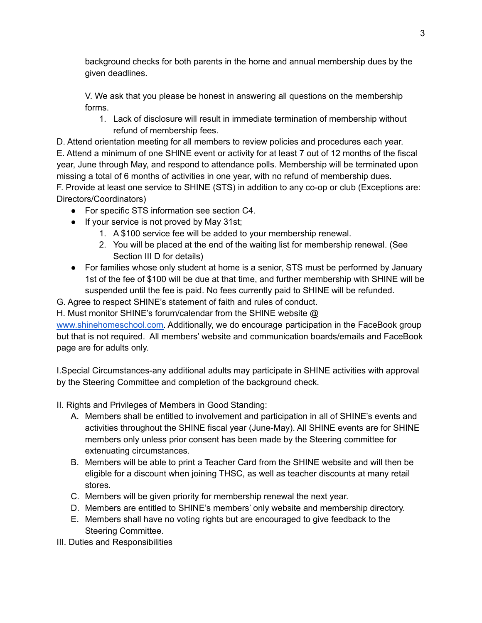background checks for both parents in the home and annual membership dues by the given deadlines.

V. We ask that you please be honest in answering all questions on the membership forms.

1. Lack of disclosure will result in immediate termination of membership without refund of membership fees.

D. Attend orientation meeting for all members to review policies and procedures each year. E. Attend a minimum of one SHINE event or activity for at least 7 out of 12 months of the fiscal year, June through May, and respond to attendance polls. Membership will be terminated upon missing a total of 6 months of activities in one year, with no refund of membership dues.

F. Provide at least one service to SHINE (STS) in addition to any co-op or club (Exceptions are: Directors/Coordinators)

- For specific STS information see section C4.
- If your service is not proved by May 31st;
	- 1. A \$100 service fee will be added to your membership renewal.
	- 2. You will be placed at the end of the waiting list for membership renewal. (See Section III D for details)
- For families whose only student at home is a senior, STS must be performed by January 1st of the fee of \$100 will be due at that time, and further membership with SHINE will be suspended until the fee is paid. No fees currently paid to SHINE will be refunded.
- G. Agree to respect SHINE's statement of faith and rules of conduct.

H. Must monitor SHINE's forum/calendar from the SHINE website @

[www.shinehomeschool.com.](http://www.shinehomeschool.com) Additionally, we do encourage participation in the FaceBook group but that is not required. All members' website and communication boards/emails and FaceBook page are for adults only.

I.Special Circumstances-any additional adults may participate in SHINE activities with approval by the Steering Committee and completion of the background check.

II. Rights and Privileges of Members in Good Standing:

- A. Members shall be entitled to involvement and participation in all of SHINE's events and activities throughout the SHINE fiscal year (June-May). All SHINE events are for SHINE members only unless prior consent has been made by the Steering committee for extenuating circumstances.
- B. Members will be able to print a Teacher Card from the SHINE website and will then be eligible for a discount when joining THSC, as well as teacher discounts at many retail stores.
- C. Members will be given priority for membership renewal the next year.
- D. Members are entitled to SHINE's members' only website and membership directory.
- E. Members shall have no voting rights but are encouraged to give feedback to the Steering Committee.
- III. Duties and Responsibilities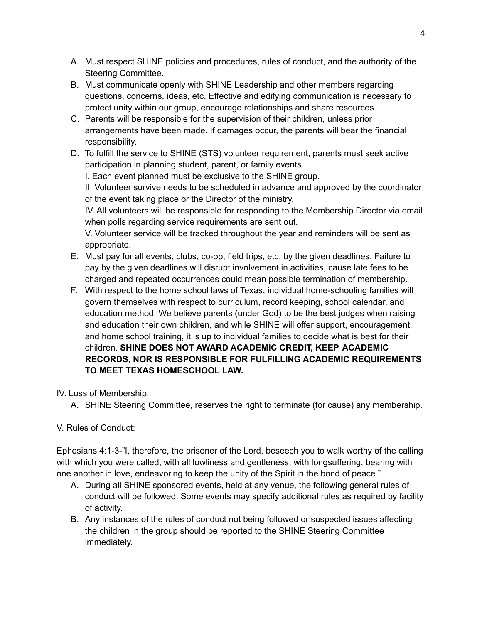- A. Must respect SHINE policies and procedures, rules of conduct, and the authority of the Steering Committee.
- B. Must communicate openly with SHINE Leadership and other members regarding questions, concerns, ideas, etc. Effective and edifying communication is necessary to protect unity within our group, encourage relationships and share resources.
- C. Parents will be responsible for the supervision of their children, unless prior arrangements have been made. If damages occur, the parents will bear the financial responsibility.
- D. To fulfill the service to SHINE (STS) volunteer requirement, parents must seek active participation in planning student, parent, or family events.

I. Each event planned must be exclusive to the SHINE group.

II. Volunteer survive needs to be scheduled in advance and approved by the coordinator of the event taking place or the Director of the ministry.

IV. All volunteers will be responsible for responding to the Membership Director via email when polls regarding service requirements are sent out.

V. Volunteer service will be tracked throughout the year and reminders will be sent as appropriate.

- E. Must pay for all events, clubs, co-op, field trips, etc. by the given deadlines. Failure to pay by the given deadlines will disrupt involvement in activities, cause late fees to be charged and repeated occurrences could mean possible termination of membership.
- F. With respect to the home school laws of Texas, individual home-schooling families will govern themselves with respect to curriculum, record keeping, school calendar, and education method. We believe parents (under God) to be the best judges when raising and education their own children, and while SHINE will offer support, encouragement, and home school training, it is up to individual families to decide what is best for their children. **SHINE DOES NOT AWARD ACADEMIC CREDIT, KEEP ACADEMIC RECORDS, NOR IS RESPONSIBLE FOR FULFILLING ACADEMIC REQUIREMENTS TO MEET TEXAS HOMESCHOOL LAW.**

### IV. Loss of Membership:

A. SHINE Steering Committee, reserves the right to terminate (for cause) any membership.

### V. Rules of Conduct:

Ephesians 4:1-3-"I, therefore, the prisoner of the Lord, beseech you to walk worthy of the calling with which you were called, with all lowliness and gentleness, with longsuffering, bearing with one another in love, endeavoring to keep the unity of the Spirit in the bond of peace."

- A. During all SHINE sponsored events, held at any venue, the following general rules of conduct will be followed. Some events may specify additional rules as required by facility of activity.
- B. Any instances of the rules of conduct not being followed or suspected issues affecting the children in the group should be reported to the SHINE Steering Committee immediately.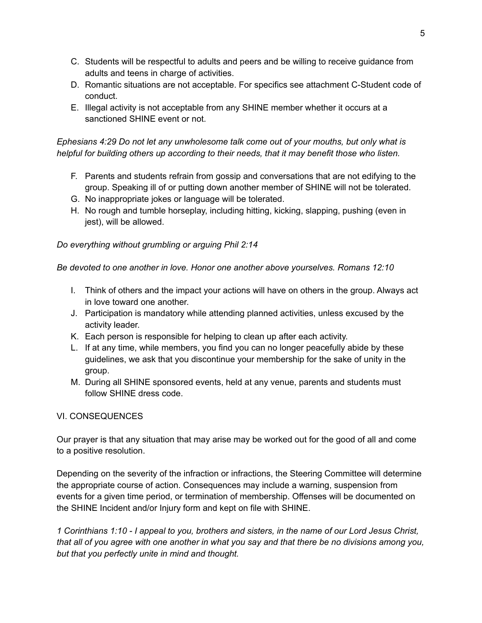- C. Students will be respectful to adults and peers and be willing to receive guidance from adults and teens in charge of activities.
- D. Romantic situations are not acceptable. For specifics see attachment C-Student code of conduct.
- E. Illegal activity is not acceptable from any SHINE member whether it occurs at a sanctioned SHINE event or not.

### *Ephesians 4:29 Do not let any unwholesome talk come out of your mouths, but only what is helpful for building others up according to their needs, that it may benefit those who listen.*

- F. Parents and students refrain from gossip and conversations that are not edifying to the group. Speaking ill of or putting down another member of SHINE will not be tolerated.
- G. No inappropriate jokes or language will be tolerated.
- H. No rough and tumble horseplay, including hitting, kicking, slapping, pushing (even in jest), will be allowed.

### *Do everything without grumbling or arguing Phil 2:14*

*Be devoted to one another in love. Honor one another above yourselves. Romans 12:10*

- I. Think of others and the impact your actions will have on others in the group. Always act in love toward one another.
- J. Participation is mandatory while attending planned activities, unless excused by the activity leader.
- K. Each person is responsible for helping to clean up after each activity.
- L. If at any time, while members, you find you can no longer peacefully abide by these guidelines, we ask that you discontinue your membership for the sake of unity in the group.
- M. During all SHINE sponsored events, held at any venue, parents and students must follow SHINE dress code.

### VI. CONSEQUENCES

Our prayer is that any situation that may arise may be worked out for the good of all and come to a positive resolution.

Depending on the severity of the infraction or infractions, the Steering Committee will determine the appropriate course of action. Consequences may include a warning, suspension from events for a given time period, or termination of membership. Offenses will be documented on the SHINE Incident and/or Injury form and kept on file with SHINE.

1 Corinthians 1:10 - I appeal to you, brothers and sisters, in the name of our Lord Jesus Christ, that all of you agree with one another in what you say and that there be no divisions among you, *but that you perfectly unite in mind and thought.*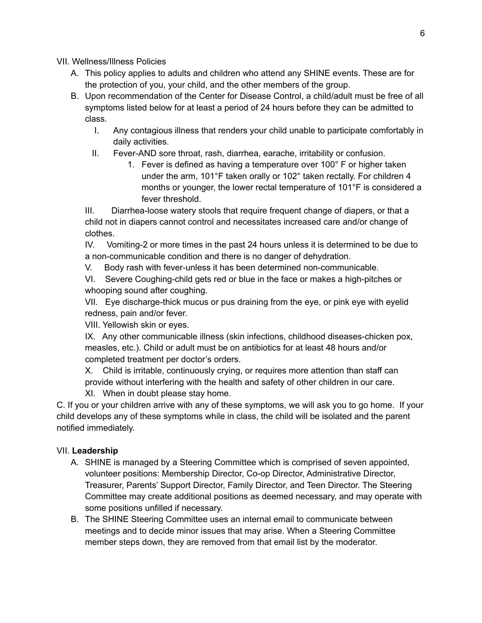VII. Wellness/Illness Policies

- A. This policy applies to adults and children who attend any SHINE events. These are for the protection of you, your child, and the other members of the group.
- B. Upon recommendation of the Center for Disease Control, a child/adult must be free of all symptoms listed below for at least a period of 24 hours before they can be admitted to class.
	- I. Any contagious illness that renders your child unable to participate comfortably in daily activities.
	- II. Fever-AND sore throat, rash, diarrhea, earache, irritability or confusion.
		- 1. Fever is defined as having a temperature over 100° F or higher taken under the arm, 101°F taken orally or 102° taken rectally. For children 4 months or younger, the lower rectal temperature of 101°F is considered a fever threshold.

III. Diarrhea-loose watery stools that require frequent change of diapers, or that a child not in diapers cannot control and necessitates increased care and/or change of clothes.

IV. Vomiting-2 or more times in the past 24 hours unless it is determined to be due to a non-communicable condition and there is no danger of dehydration.

V. Body rash with fever-unless it has been determined non-communicable.

VI. Severe Coughing-child gets red or blue in the face or makes a high-pitches or whooping sound after coughing.

VII. Eye discharge-thick mucus or pus draining from the eye, or pink eye with eyelid redness, pain and/or fever.

VIII. Yellowish skin or eyes.

IX. Any other communicable illness (skin infections, childhood diseases-chicken pox, measles, etc.). Child or adult must be on antibiotics for at least 48 hours and/or completed treatment per doctor's orders.

X. Child is irritable, continuously crying, or requires more attention than staff can provide without interfering with the health and safety of other children in our care.

XI. When in doubt please stay home.

C. If you or your children arrive with any of these symptoms, we will ask you to go home. If your child develops any of these symptoms while in class, the child will be isolated and the parent notified immediately.

### VII. **Leadership**

- A. SHINE is managed by a Steering Committee which is comprised of seven appointed, volunteer positions: Membership Director, Co-op Director, Administrative Director, Treasurer, Parents' Support Director, Family Director, and Teen Director. The Steering Committee may create additional positions as deemed necessary, and may operate with some positions unfilled if necessary.
- B. The SHINE Steering Committee uses an internal email to communicate between meetings and to decide minor issues that may arise. When a Steering Committee member steps down, they are removed from that email list by the moderator.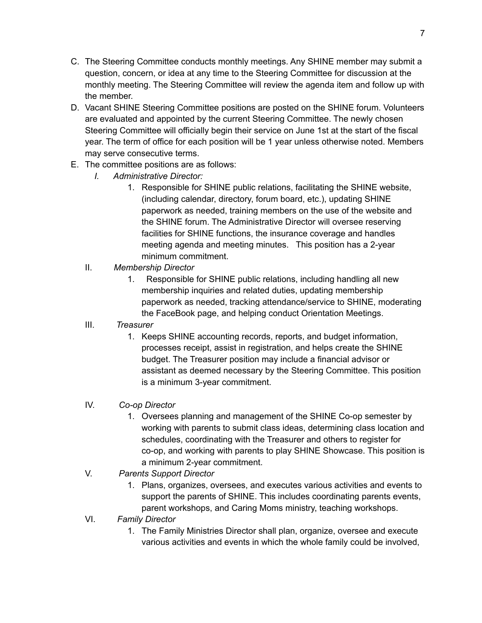- C. The Steering Committee conducts monthly meetings. Any SHINE member may submit a question, concern, or idea at any time to the Steering Committee for discussion at the monthly meeting. The Steering Committee will review the agenda item and follow up with the member.
- D. Vacant SHINE Steering Committee positions are posted on the SHINE forum. Volunteers are evaluated and appointed by the current Steering Committee. The newly chosen Steering Committee will officially begin their service on June 1st at the start of the fiscal year. The term of office for each position will be 1 year unless otherwise noted. Members may serve consecutive terms.
- E. The committee positions are as follows:
	- *I. Administrative Director:*
		- 1. Responsible for SHINE public relations, facilitating the SHINE website, (including calendar, directory, forum board, etc.), updating SHINE paperwork as needed, training members on the use of the website and the SHINE forum. The Administrative Director will oversee reserving facilities for SHINE functions, the insurance coverage and handles meeting agenda and meeting minutes. This position has a 2-year minimum commitment.
	- II. *Membership Director*
		- 1. Responsible for SHINE public relations, including handling all new membership inquiries and related duties, updating membership paperwork as needed, tracking attendance/service to SHINE, moderating the FaceBook page, and helping conduct Orientation Meetings.
	- III. *Treasurer*
		- 1. Keeps SHINE accounting records, reports, and budget information, processes receipt, assist in registration, and helps create the SHINE budget. The Treasurer position may include a financial advisor or assistant as deemed necessary by the Steering Committee. This position is a minimum 3-year commitment.
	- IV. *Co-op Director*
		- 1. Oversees planning and management of the SHINE Co-op semester by working with parents to submit class ideas, determining class location and schedules, coordinating with the Treasurer and others to register for co-op, and working with parents to play SHINE Showcase. This position is a minimum 2-year commitment.
	- V. *Parents Support Director*
		- 1. Plans, organizes, oversees, and executes various activities and events to support the parents of SHINE. This includes coordinating parents events, parent workshops, and Caring Moms ministry, teaching workshops.
	- VI. *Family Director*
		- 1. The Family Ministries Director shall plan, organize, oversee and execute various activities and events in which the whole family could be involved,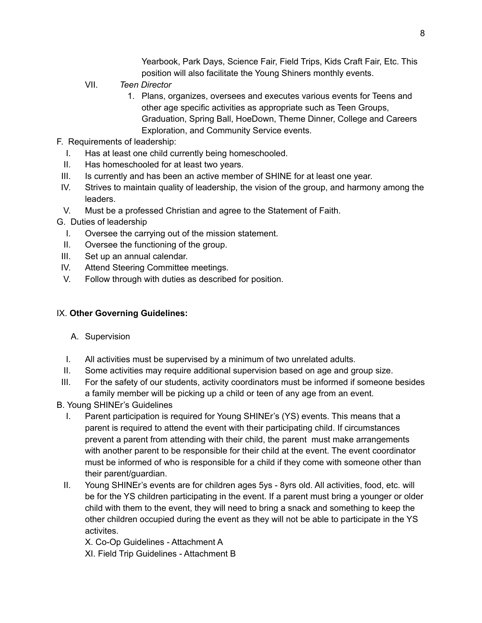Yearbook, Park Days, Science Fair, Field Trips, Kids Craft Fair, Etc. This position will also facilitate the Young Shiners monthly events.

- VII. *Teen Director*
	- 1. Plans, organizes, oversees and executes various events for Teens and other age specific activities as appropriate such as Teen Groups, Graduation, Spring Ball, HoeDown, Theme Dinner, College and Careers Exploration, and Community Service events.
- F. Requirements of leadership:
	- I. Has at least one child currently being homeschooled.
	- II. Has homeschooled for at least two years.
- III. Is currently and has been an active member of SHINE for at least one year.
- IV. Strives to maintain quality of leadership, the vision of the group, and harmony among the leaders.
- V. Must be a professed Christian and agree to the Statement of Faith.
- G. Duties of leadership
	- I. Oversee the carrying out of the mission statement.
	- II. Oversee the functioning of the group.
- III. Set up an annual calendar.
- IV. Attend Steering Committee meetings.
- V. Follow through with duties as described for position.

#### IX. **Other Governing Guidelines:**

- A. Supervision
- I. All activities must be supervised by a minimum of two unrelated adults.
- II. Some activities may require additional supervision based on age and group size.
- III. For the safety of our students, activity coordinators must be informed if someone besides a family member will be picking up a child or teen of any age from an event.
- B. Young SHINEr's Guidelines
	- I. Parent participation is required for Young SHINEr's (YS) events. This means that a parent is required to attend the event with their participating child. If circumstances prevent a parent from attending with their child, the parent must make arrangements with another parent to be responsible for their child at the event. The event coordinator must be informed of who is responsible for a child if they come with someone other than their parent/guardian.
	- II. Young SHINEr's events are for children ages 5ys 8yrs old. All activities, food, etc. will be for the YS children participating in the event. If a parent must bring a younger or older child with them to the event, they will need to bring a snack and something to keep the other children occupied during the event as they will not be able to participate in the YS activites.

X. Co-Op Guidelines - Attachment A

XI. Field Trip Guidelines - Attachment B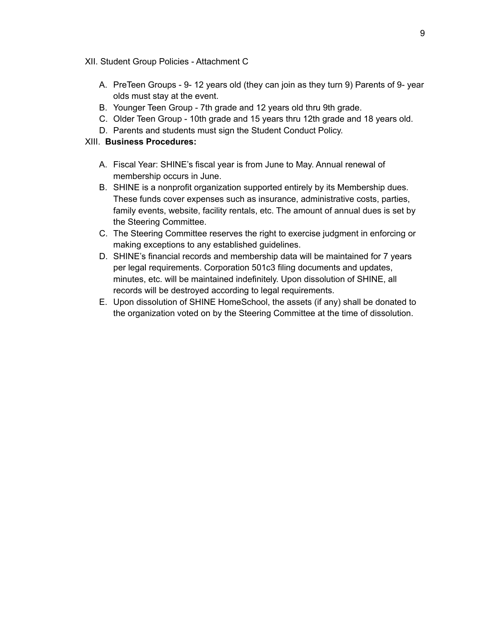- XII. Student Group Policies Attachment C
	- A. PreTeen Groups 9- 12 years old (they can join as they turn 9) Parents of 9- year olds must stay at the event.
	- B. Younger Teen Group 7th grade and 12 years old thru 9th grade.
	- C. Older Teen Group 10th grade and 15 years thru 12th grade and 18 years old.
	- D. Parents and students must sign the Student Conduct Policy.

#### XIII. **Business Procedures:**

- A. Fiscal Year: SHINE's fiscal year is from June to May. Annual renewal of membership occurs in June.
- B. SHINE is a nonprofit organization supported entirely by its Membership dues. These funds cover expenses such as insurance, administrative costs, parties, family events, website, facility rentals, etc. The amount of annual dues is set by the Steering Committee.
- C. The Steering Committee reserves the right to exercise judgment in enforcing or making exceptions to any established guidelines.
- D. SHINE's financial records and membership data will be maintained for 7 years per legal requirements. Corporation 501c3 filing documents and updates, minutes, etc. will be maintained indefinitely. Upon dissolution of SHINE, all records will be destroyed according to legal requirements.
- E. Upon dissolution of SHINE HomeSchool, the assets (if any) shall be donated to the organization voted on by the Steering Committee at the time of dissolution.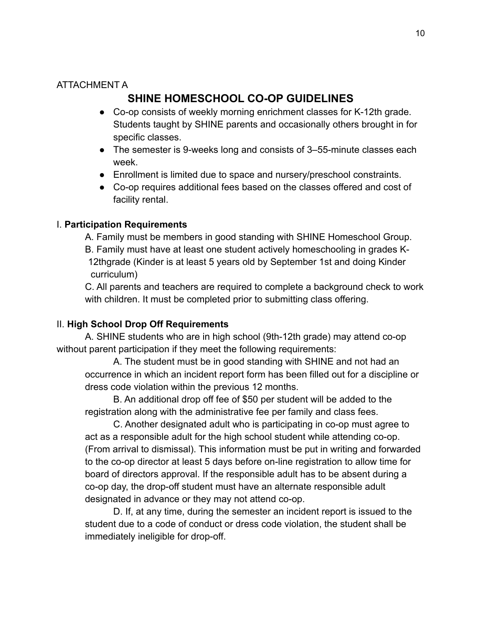### ATTACHMENT A

### **SHINE HOMESCHOOL CO-OP GUIDELINES**

- Co-op consists of weekly morning enrichment classes for K-12th grade. Students taught by SHINE parents and occasionally others brought in for specific classes.
- The semester is 9-weeks long and consists of 3–55-minute classes each week.
- Enrollment is limited due to space and nursery/preschool constraints.
- Co-op requires additional fees based on the classes offered and cost of facility rental.

### I. **Participation Requirements**

A. Family must be members in good standing with SHINE Homeschool Group. B. Family must have at least one student actively homeschooling in grades K-12thgrade (Kinder is at least 5 years old by September 1st and doing Kinder curriculum)

C. All parents and teachers are required to complete a background check to work with children. It must be completed prior to submitting class offering.

### II. **High School Drop Off Requirements**

A. SHINE students who are in high school (9th-12th grade) may attend co-op without parent participation if they meet the following requirements:

A. The student must be in good standing with SHINE and not had an occurrence in which an incident report form has been filled out for a discipline or dress code violation within the previous 12 months.

B. An additional drop off fee of \$50 per student will be added to the registration along with the administrative fee per family and class fees.

C. Another designated adult who is participating in co-op must agree to act as a responsible adult for the high school student while attending co-op. (From arrival to dismissal). This information must be put in writing and forwarded to the co-op director at least 5 days before on-line registration to allow time for board of directors approval. If the responsible adult has to be absent during a co-op day, the drop-off student must have an alternate responsible adult designated in advance or they may not attend co-op.

D. If, at any time, during the semester an incident report is issued to the student due to a code of conduct or dress code violation, the student shall be immediately ineligible for drop-off.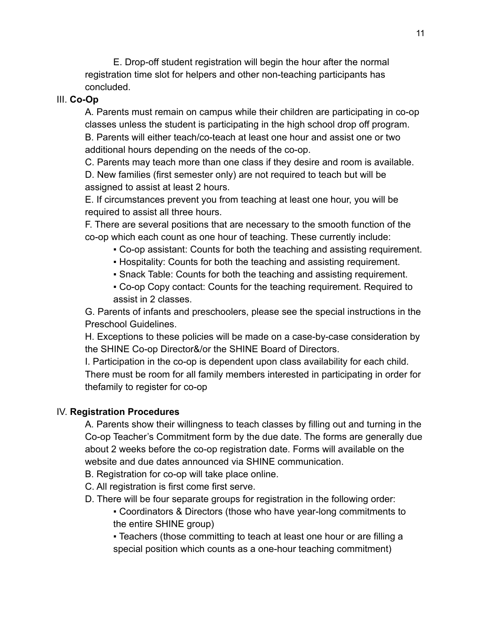E. Drop-off student registration will begin the hour after the normal registration time slot for helpers and other non-teaching participants has concluded.

### III. **Co-Op**

A. Parents must remain on campus while their children are participating in co-op classes unless the student is participating in the high school drop off program. B. Parents will either teach/co-teach at least one hour and assist one or two additional hours depending on the needs of the co-op.

C. Parents may teach more than one class if they desire and room is available. D. New families (first semester only) are not required to teach but will be assigned to assist at least 2 hours.

E. If circumstances prevent you from teaching at least one hour, you will be required to assist all three hours.

F. There are several positions that are necessary to the smooth function of the co-op which each count as one hour of teaching. These currently include:

- Co-op assistant: Counts for both the teaching and assisting requirement.
- Hospitality: Counts for both the teaching and assisting requirement.
- Snack Table: Counts for both the teaching and assisting requirement.
- Co-op Copy contact: Counts for the teaching requirement. Required to assist in 2 classes.

G. Parents of infants and preschoolers, please see the special instructions in the Preschool Guidelines.

H. Exceptions to these policies will be made on a case-by-case consideration by the SHINE Co-op Director&/or the SHINE Board of Directors.

I. Participation in the co-op is dependent upon class availability for each child. There must be room for all family members interested in participating in order for thefamily to register for co-op

### IV. **Registration Procedures**

A. Parents show their willingness to teach classes by filling out and turning in the Co-op Teacher's Commitment form by the due date. The forms are generally due about 2 weeks before the co-op registration date. Forms will available on the website and due dates announced via SHINE communication.

- B. Registration for co-op will take place online.
- C. All registration is first come first serve.
- D. There will be four separate groups for registration in the following order:
	- Coordinators & Directors (those who have year-long commitments to the entire SHINE group)

▪ Teachers (those committing to teach at least one hour or are filling a special position which counts as a one-hour teaching commitment)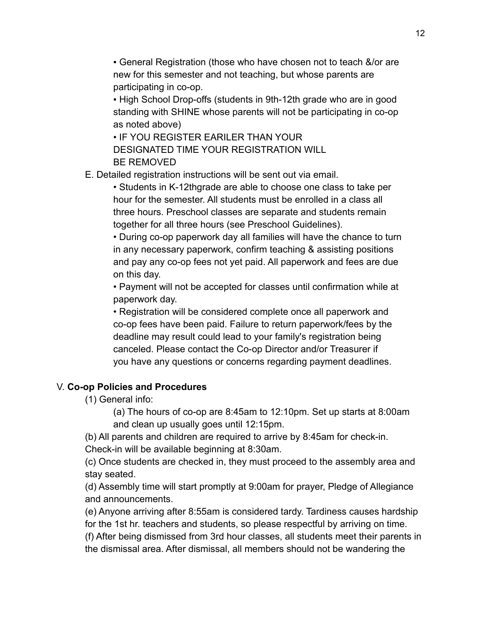• General Registration (those who have chosen not to teach &/or are new for this semester and not teaching, but whose parents are participating in co-op.

• High School Drop-offs (students in 9th-12th grade who are in good standing with SHINE whose parents will not be participating in co-op as noted above)

• IF YOU REGISTER EARILER THAN YOUR DESIGNATED TIME YOUR REGISTRATION WILL BE REMOVED

E. Detailed registration instructions will be sent out via email.

• Students in K-12thgrade are able to choose one class to take per hour for the semester. All students must be enrolled in a class all three hours. Preschool classes are separate and students remain together for all three hours (see Preschool Guidelines).

• During co-op paperwork day all families will have the chance to turn in any necessary paperwork, confirm teaching & assisting positions and pay any co-op fees not yet paid. All paperwork and fees are due on this day.

• Payment will not be accepted for classes until confirmation while at paperwork day.

• Registration will be considered complete once all paperwork and co-op fees have been paid. Failure to return paperwork/fees by the deadline may result could lead to your family's registration being canceled. Please contact the Co-op Director and/or Treasurer if you have any questions or concerns regarding payment deadlines.

### V. **Co-op Policies and Procedures**

(1) General info:

(a) The hours of co-op are 8:45am to 12:10pm. Set up starts at 8:00am and clean up usually goes until 12:15pm.

(b) All parents and children are required to arrive by 8:45am for check-in. Check-in will be available beginning at 8:30am.

(c) Once students are checked in, they must proceed to the assembly area and stay seated.

(d) Assembly time will start promptly at 9:00am for prayer, Pledge of Allegiance and announcements.

(e) Anyone arriving after 8:55am is considered tardy. Tardiness causes hardship for the 1st hr. teachers and students, so please respectful by arriving on time. (f) After being dismissed from 3rd hour classes, all students meet their parents in the dismissal area. After dismissal, all members should not be wandering the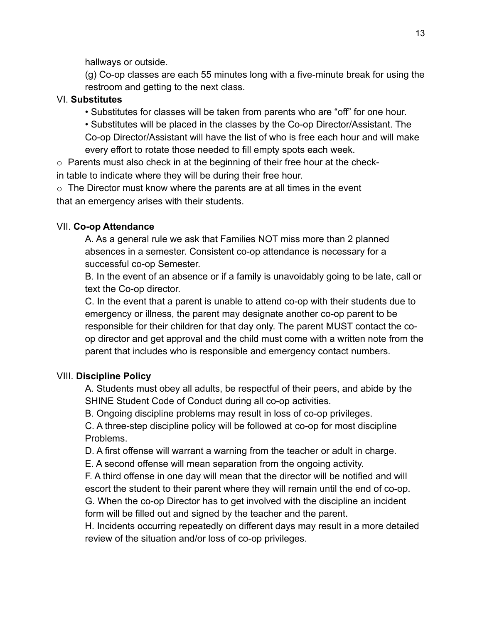hallways or outside.

(g) Co-op classes are each 55 minutes long with a five-minute break for using the restroom and getting to the next class.

### VI. **Substitutes**

• Substitutes for classes will be taken from parents who are "off" for one hour.

• Substitutes will be placed in the classes by the Co-op Director/Assistant. The Co-op Director/Assistant will have the list of who is free each hour and will make every effort to rotate those needed to fill empty spots each week.

o Parents must also check in at the beginning of their free hour at the checkin table to indicate where they will be during their free hour.

 $\circ$  The Director must know where the parents are at all times in the event that an emergency arises with their students.

### VII. **Co-op Attendance**

A. As a general rule we ask that Families NOT miss more than 2 planned absences in a semester. Consistent co-op attendance is necessary for a successful co-op Semester.

B. In the event of an absence or if a family is unavoidably going to be late, call or text the Co-op director.

C. In the event that a parent is unable to attend co-op with their students due to emergency or illness, the parent may designate another co-op parent to be responsible for their children for that day only. The parent MUST contact the coop director and get approval and the child must come with a written note from the parent that includes who is responsible and emergency contact numbers.

### VIII. **Discipline Policy**

A. Students must obey all adults, be respectful of their peers, and abide by the SHINE Student Code of Conduct during all co-op activities.

B. Ongoing discipline problems may result in loss of co-op privileges.

C. A three-step discipline policy will be followed at co-op for most discipline Problems.

D. A first offense will warrant a warning from the teacher or adult in charge.

E. A second offense will mean separation from the ongoing activity.

F. A third offense in one day will mean that the director will be notified and will escort the student to their parent where they will remain until the end of co-op.

G. When the co-op Director has to get involved with the discipline an incident form will be filled out and signed by the teacher and the parent.

H. Incidents occurring repeatedly on different days may result in a more detailed review of the situation and/or loss of co-op privileges.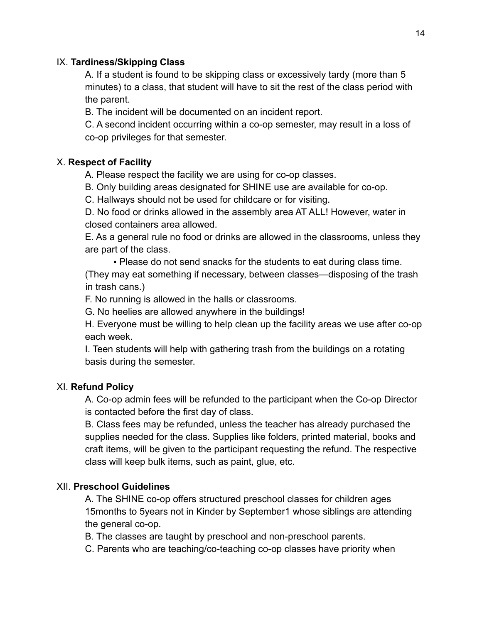### IX. **Tardiness/Skipping Class**

A. If a student is found to be skipping class or excessively tardy (more than 5 minutes) to a class, that student will have to sit the rest of the class period with the parent.

B. The incident will be documented on an incident report.

C. A second incident occurring within a co-op semester, may result in a loss of co-op privileges for that semester.

### X. **Respect of Facility**

A. Please respect the facility we are using for co-op classes.

B. Only building areas designated for SHINE use are available for co-op.

C. Hallways should not be used for childcare or for visiting.

D. No food or drinks allowed in the assembly area AT ALL! However, water in closed containers area allowed.

E. As a general rule no food or drinks are allowed in the classrooms, unless they are part of the class.

▪ Please do not send snacks for the students to eat during class time.

(They may eat something if necessary, between classes—disposing of the trash in trash cans.)

F. No running is allowed in the halls or classrooms.

G. No heelies are allowed anywhere in the buildings!

H. Everyone must be willing to help clean up the facility areas we use after co-op each week.

I. Teen students will help with gathering trash from the buildings on a rotating basis during the semester.

### XI. **Refund Policy**

A. Co-op admin fees will be refunded to the participant when the Co-op Director is contacted before the first day of class.

B. Class fees may be refunded, unless the teacher has already purchased the supplies needed for the class. Supplies like folders, printed material, books and craft items, will be given to the participant requesting the refund. The respective class will keep bulk items, such as paint, glue, etc.

### XII. **Preschool Guidelines**

A. The SHINE co-op offers structured preschool classes for children ages 15months to 5years not in Kinder by September1 whose siblings are attending the general co-op.

B. The classes are taught by preschool and non-preschool parents.

C. Parents who are teaching/co-teaching co-op classes have priority when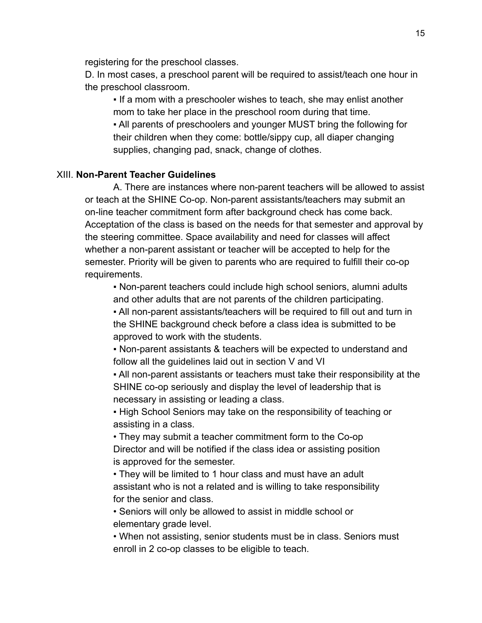registering for the preschool classes.

D. In most cases, a preschool parent will be required to assist/teach one hour in the preschool classroom.

• If a mom with a preschooler wishes to teach, she may enlist another mom to take her place in the preschool room during that time. ▪ All parents of preschoolers and younger MUST bring the following for their children when they come: bottle/sippy cup, all diaper changing supplies, changing pad, snack, change of clothes.

#### XIII. **Non-Parent Teacher Guidelines**

A. There are instances where non-parent teachers will be allowed to assist or teach at the SHINE Co-op. Non-parent assistants/teachers may submit an on-line teacher commitment form after background check has come back. Acceptation of the class is based on the needs for that semester and approval by the steering committee. Space availability and need for classes will affect whether a non-parent assistant or teacher will be accepted to help for the semester. Priority will be given to parents who are required to fulfill their co-op requirements.

▪ Non-parent teachers could include high school seniors, alumni adults and other adults that are not parents of the children participating.

▪ All non-parent assistants/teachers will be required to fill out and turn in the SHINE background check before a class idea is submitted to be approved to work with the students.

▪ Non-parent assistants & teachers will be expected to understand and follow all the guidelines laid out in section V and VI

▪ All non-parent assistants or teachers must take their responsibility at the SHINE co-op seriously and display the level of leadership that is necessary in assisting or leading a class.

**- High School Seniors may take on the responsibility of teaching or** assisting in a class.

• They may submit a teacher commitment form to the Co-op Director and will be notified if the class idea or assisting position is approved for the semester.

• They will be limited to 1 hour class and must have an adult assistant who is not a related and is willing to take responsibility for the senior and class.

• Seniors will only be allowed to assist in middle school or elementary grade level.

• When not assisting, senior students must be in class. Seniors must enroll in 2 co-op classes to be eligible to teach.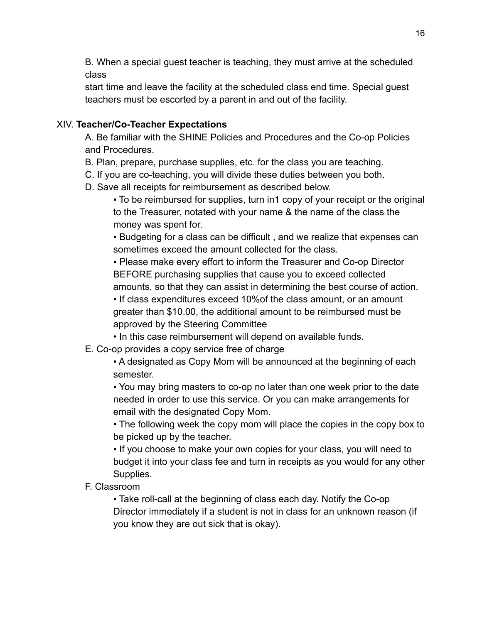B. When a special guest teacher is teaching, they must arrive at the scheduled class

start time and leave the facility at the scheduled class end time. Special guest teachers must be escorted by a parent in and out of the facility.

### XIV. **Teacher/Co-Teacher Expectations**

A. Be familiar with the SHINE Policies and Procedures and the Co-op Policies and Procedures.

- B. Plan, prepare, purchase supplies, etc. for the class you are teaching.
- C. If you are co-teaching, you will divide these duties between you both.
- D. Save all receipts for reimbursement as described below.
	- To be reimbursed for supplies, turn in1 copy of your receipt or the original to the Treasurer, notated with your name & the name of the class the money was spent for.

▪ Budgeting for a class can be difficult , and we realize that expenses can sometimes exceed the amount collected for the class.

▪ Please make every effort to inform the Treasurer and Co-op Director BEFORE purchasing supplies that cause you to exceed collected amounts, so that they can assist in determining the best course of action.

▪ If class expenditures exceed 10%of the class amount, or an amount greater than \$10.00, the additional amount to be reimbursed must be approved by the Steering Committee

- In this case reimbursement will depend on available funds.
- E. Co-op provides a copy service free of charge

▪ A designated as Copy Mom will be announced at the beginning of each semester.

▪ You may bring masters to co-op no later than one week prior to the date needed in order to use this service. Or you can make arrangements for email with the designated Copy Mom.

• The following week the copy mom will place the copies in the copy box to be picked up by the teacher.

▪ If you choose to make your own copies for your class, you will need to budget it into your class fee and turn in receipts as you would for any other Supplies.

F. Classroom

• Take roll-call at the beginning of class each day. Notify the Co-op Director immediately if a student is not in class for an unknown reason (if you know they are out sick that is okay).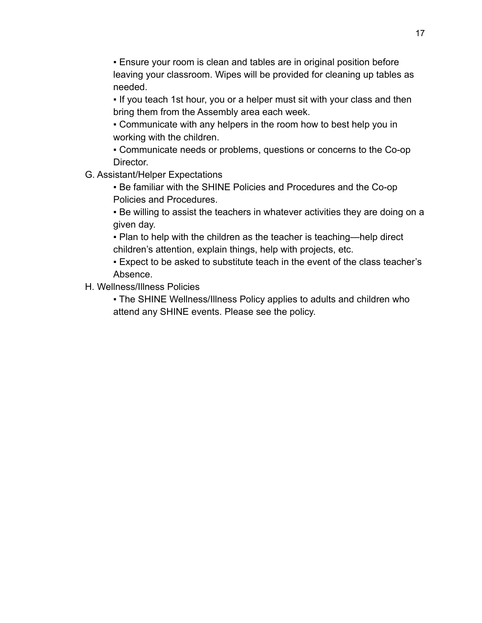**Ensure your room is clean and tables are in original position before** leaving your classroom. Wipes will be provided for cleaning up tables as needed.

- . If you teach 1st hour, you or a helper must sit with your class and then bring them from the Assembly area each week.
- Communicate with any helpers in the room how to best help you in working with the children.
- Communicate needs or problems, questions or concerns to the Co-op Director.
- G. Assistant/Helper Expectations
	- Be familiar with the SHINE Policies and Procedures and the Co-op Policies and Procedures.
	- Be willing to assist the teachers in whatever activities they are doing on a given day.
	- Plan to help with the children as the teacher is teaching—help direct children's attention, explain things, help with projects, etc.
	- Expect to be asked to substitute teach in the event of the class teacher's Absence.
- H. Wellness/Illness Policies
	- . The SHINE Wellness/Illness Policy applies to adults and children who attend any SHINE events. Please see the policy.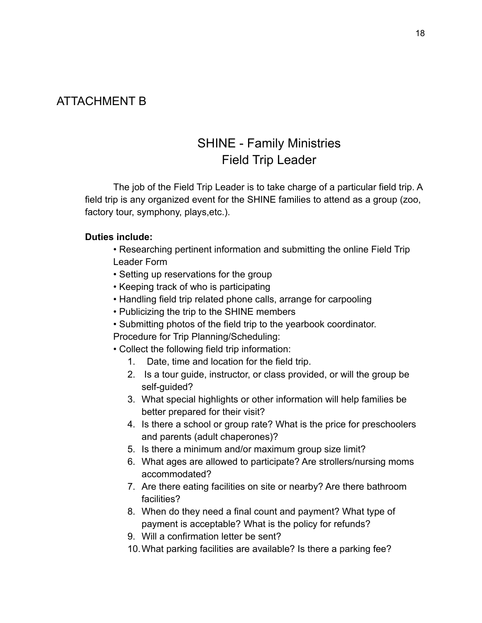### ATTACHMENT B

## SHINE - Family Ministries Field Trip Leader

The job of the Field Trip Leader is to take charge of a particular field trip. A field trip is any organized event for the SHINE families to attend as a group (zoo, factory tour, symphony, plays,etc.).

### **Duties include:**

- Researching pertinent information and submitting the online Field Trip Leader Form
- Setting up reservations for the group
- Keeping track of who is participating
- Handling field trip related phone calls, arrange for carpooling
- Publicizing the trip to the SHINE members
- Submitting photos of the field trip to the yearbook coordinator.

Procedure for Trip Planning/Scheduling:

- Collect the following field trip information:
	- 1. Date, time and location for the field trip.
	- 2. Is a tour guide, instructor, or class provided, or will the group be self-guided?
	- 3. What special highlights or other information will help families be better prepared for their visit?
	- 4. Is there a school or group rate? What is the price for preschoolers and parents (adult chaperones)?
	- 5. Is there a minimum and/or maximum group size limit?
	- 6. What ages are allowed to participate? Are strollers/nursing moms accommodated?
	- 7. Are there eating facilities on site or nearby? Are there bathroom facilities?
	- 8. When do they need a final count and payment? What type of payment is acceptable? What is the policy for refunds?
	- 9. Will a confirmation letter be sent?
	- 10.What parking facilities are available? Is there a parking fee?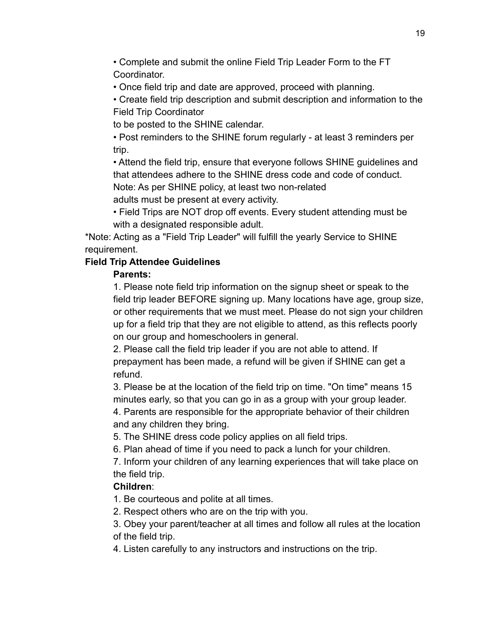• Complete and submit the online Field Trip Leader Form to the FT Coordinator.

• Once field trip and date are approved, proceed with planning.

• Create field trip description and submit description and information to the Field Trip Coordinator

to be posted to the SHINE calendar.

• Post reminders to the SHINE forum regularly - at least 3 reminders per trip.

• Attend the field trip, ensure that everyone follows SHINE guidelines and that attendees adhere to the SHINE dress code and code of conduct.

Note: As per SHINE policy, at least two non-related

adults must be present at every activity.

• Field Trips are NOT drop off events. Every student attending must be with a designated responsible adult.

\*Note: Acting as a "Field Trip Leader" will fulfill the yearly Service to SHINE requirement.

### **Field Trip Attendee Guidelines**

### **Parents:**

1. Please note field trip information on the signup sheet or speak to the field trip leader BEFORE signing up. Many locations have age, group size, or other requirements that we must meet. Please do not sign your children up for a field trip that they are not eligible to attend, as this reflects poorly on our group and homeschoolers in general.

2. Please call the field trip leader if you are not able to attend. If prepayment has been made, a refund will be given if SHINE can get a refund.

3. Please be at the location of the field trip on time. "On time" means 15 minutes early, so that you can go in as a group with your group leader.

4. Parents are responsible for the appropriate behavior of their children and any children they bring.

5. The SHINE dress code policy applies on all field trips.

6. Plan ahead of time if you need to pack a lunch for your children.

7. Inform your children of any learning experiences that will take place on the field trip.

### **Children**:

1. Be courteous and polite at all times.

2. Respect others who are on the trip with you.

3. Obey your parent/teacher at all times and follow all rules at the location of the field trip.

4. Listen carefully to any instructors and instructions on the trip.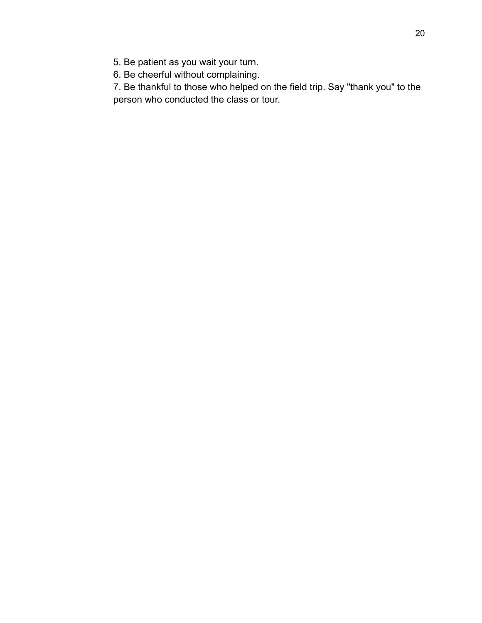5. Be patient as you wait your turn.

6. Be cheerful without complaining.

7. Be thankful to those who helped on the field trip. Say "thank you" to the person who conducted the class or tour.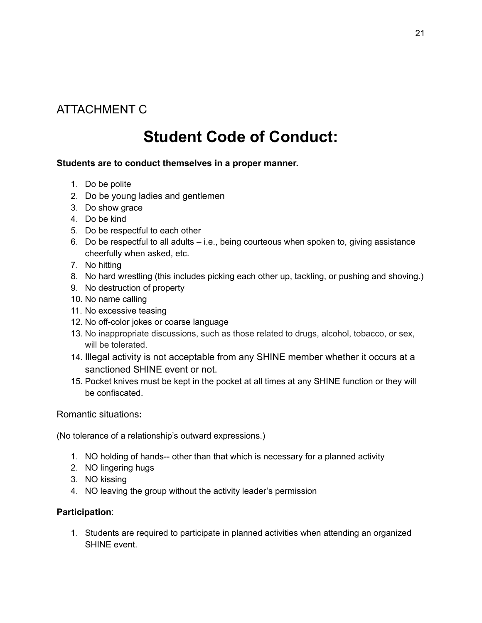## ATTACHMENT C

# **Student Code of Conduct:**

### **Students are to conduct themselves in a proper manner.**

- 1. Do be polite
- 2. Do be young ladies and gentlemen
- 3. Do show grace
- 4. Do be kind
- 5. Do be respectful to each other
- 6. Do be respectful to all adults i.e., being courteous when spoken to, giving assistance cheerfully when asked, etc.
- 7. No hitting
- 8. No hard wrestling (this includes picking each other up, tackling, or pushing and shoving.)
- 9. No destruction of property
- 10. No name calling
- 11. No excessive teasing
- 12. No off-color jokes or coarse language
- 13. No inappropriate discussions, such as those related to drugs, alcohol, tobacco, or sex, will be tolerated.
- 14. Illegal activity is not acceptable from any SHINE member whether it occurs at a sanctioned SHINE event or not.
- 15. Pocket knives must be kept in the pocket at all times at any SHINE function or they will be confiscated.

Romantic situations**:**

(No tolerance of a relationship's outward expressions.)

- 1. NO holding of hands-- other than that which is necessary for a planned activity
- 2. NO lingering hugs
- 3. NO kissing
- 4. NO leaving the group without the activity leader's permission

#### **Participation**:

1. Students are required to participate in planned activities when attending an organized SHINE event.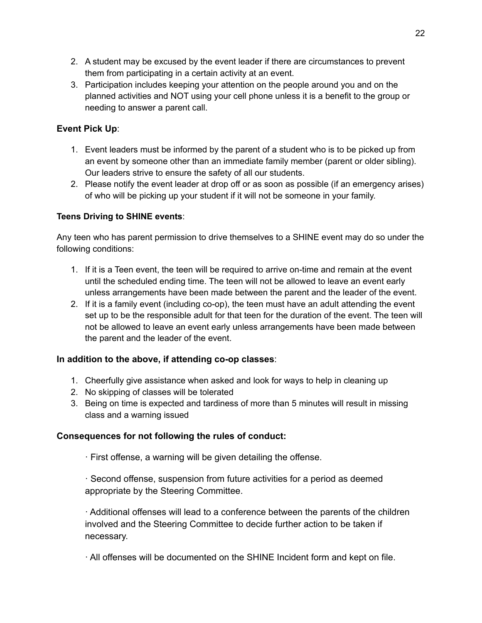- 2. A student may be excused by the event leader if there are circumstances to prevent them from participating in a certain activity at an event.
- 3. Participation includes keeping your attention on the people around you and on the planned activities and NOT using your cell phone unless it is a benefit to the group or needing to answer a parent call.

### **Event Pick Up**:

- 1. Event leaders must be informed by the parent of a student who is to be picked up from an event by someone other than an immediate family member (parent or older sibling). Our leaders strive to ensure the safety of all our students.
- 2. Please notify the event leader at drop off or as soon as possible (if an emergency arises) of who will be picking up your student if it will not be someone in your family.

### **Teens Driving to SHINE events**:

Any teen who has parent permission to drive themselves to a SHINE event may do so under the following conditions:

- 1. If it is a Teen event, the teen will be required to arrive on-time and remain at the event until the scheduled ending time. The teen will not be allowed to leave an event early unless arrangements have been made between the parent and the leader of the event.
- 2. If it is a family event (including co-op), the teen must have an adult attending the event set up to be the responsible adult for that teen for the duration of the event. The teen will not be allowed to leave an event early unless arrangements have been made between the parent and the leader of the event.

### **In addition to the above, if attending co-op classes**:

- 1. Cheerfully give assistance when asked and look for ways to help in cleaning up
- 2. No skipping of classes will be tolerated
- 3. Being on time is expected and tardiness of more than 5 minutes will result in missing class and a warning issued

### **Consequences for not following the rules of conduct:**

· First offense, a warning will be given detailing the offense.

· Second offense, suspension from future activities for a period as deemed appropriate by the Steering Committee.

· Additional offenses will lead to a conference between the parents of the children involved and the Steering Committee to decide further action to be taken if necessary.

· All offenses will be documented on the SHINE Incident form and kept on file.